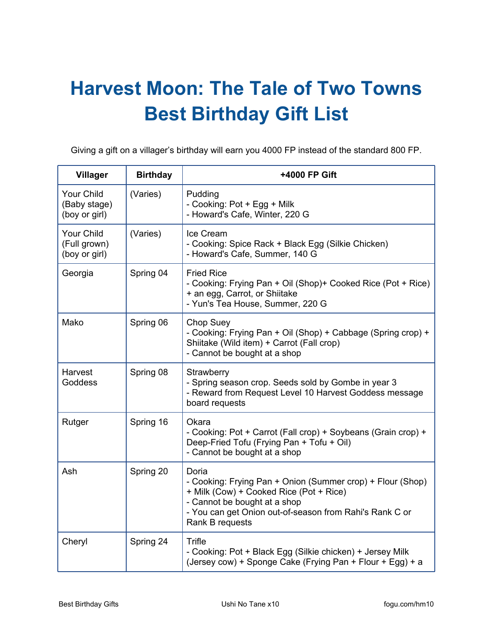## **Harvest Moon: The Tale of Two Towns Best Birthday Gift List**

Giving a gift on a villager's birthday will earn you 4000 FP instead of the standard 800 FP.

| <b>Villager</b>                             | <b>Birthday</b> | +4000 FP Gift                                                                                                                                                                                                                |
|---------------------------------------------|-----------------|------------------------------------------------------------------------------------------------------------------------------------------------------------------------------------------------------------------------------|
| Your Child<br>(Baby stage)<br>(boy or girl) | (Varies)        | Pudding<br>- Cooking: Pot + Egg + Milk<br>- Howard's Cafe, Winter, 220 G                                                                                                                                                     |
| Your Child<br>(Full grown)<br>(boy or girl) | (Varies)        | Ice Cream<br>- Cooking: Spice Rack + Black Egg (Silkie Chicken)<br>- Howard's Cafe, Summer, 140 G                                                                                                                            |
| Georgia                                     | Spring 04       | <b>Fried Rice</b><br>- Cooking: Frying Pan + Oil (Shop)+ Cooked Rice (Pot + Rice)<br>+ an egg, Carrot, or Shiitake<br>- Yun's Tea House, Summer, 220 G                                                                       |
| Mako                                        | Spring 06       | <b>Chop Suey</b><br>- Cooking: Frying Pan + Oil (Shop) + Cabbage (Spring crop) +<br>Shiitake (Wild item) + Carrot (Fall crop)<br>- Cannot be bought at a shop                                                                |
| Harvest<br>Goddess                          | Spring 08       | Strawberry<br>- Spring season crop. Seeds sold by Gombe in year 3<br>- Reward from Request Level 10 Harvest Goddess message<br>board requests                                                                                |
| Rutger                                      | Spring 16       | Okara<br>- Cooking: Pot + Carrot (Fall crop) + Soybeans (Grain crop) +<br>Deep-Fried Tofu (Frying Pan + Tofu + Oil)<br>- Cannot be bought at a shop                                                                          |
| Ash                                         | Spring 20       | Doria<br>- Cooking: Frying Pan + Onion (Summer crop) + Flour (Shop)<br>+ Milk (Cow) + Cooked Rice (Pot + Rice)<br>- Cannot be bought at a shop<br>- You can get Onion out-of-season from Rahi's Rank C or<br>Rank B requests |
| Cheryl                                      | Spring 24       | Trifle<br>- Cooking: Pot + Black Egg (Silkie chicken) + Jersey Milk<br>(Jersey cow) + Sponge Cake (Frying Pan + Flour + Egg) + a                                                                                             |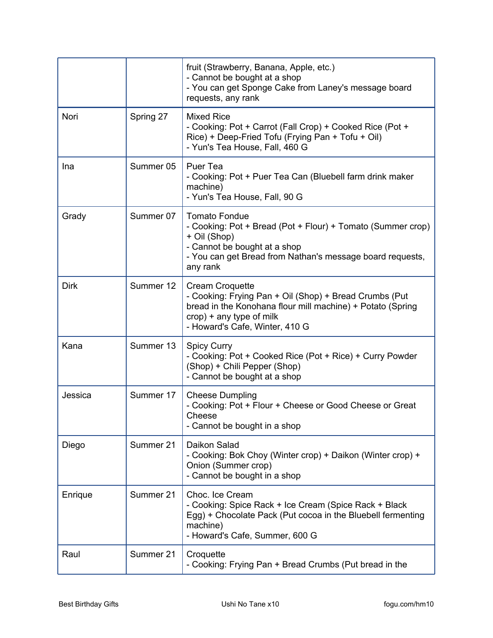|             |           | fruit (Strawberry, Banana, Apple, etc.)<br>- Cannot be bought at a shop<br>- You can get Sponge Cake from Laney's message board<br>requests, any rank                                                           |
|-------------|-----------|-----------------------------------------------------------------------------------------------------------------------------------------------------------------------------------------------------------------|
| Nori        | Spring 27 | <b>Mixed Rice</b><br>- Cooking: Pot + Carrot (Fall Crop) + Cooked Rice (Pot +<br>Rice) + Deep-Fried Tofu (Frying Pan + Tofu + Oil)<br>- Yun's Tea House, Fall, 460 G                                            |
| Ina         | Summer 05 | Puer Tea<br>- Cooking: Pot + Puer Tea Can (Bluebell farm drink maker<br>machine)<br>- Yun's Tea House, Fall, 90 G                                                                                               |
| Grady       | Summer 07 | <b>Tomato Fondue</b><br>- Cooking: Pot + Bread (Pot + Flour) + Tomato (Summer crop)<br>+ Oil (Shop)<br>- Cannot be bought at a shop<br>- You can get Bread from Nathan's message board requests,<br>any rank    |
| <b>Dirk</b> | Summer 12 | <b>Cream Croquette</b><br>- Cooking: Frying Pan + Oil (Shop) + Bread Crumbs (Put<br>bread in the Konohana flour mill machine) + Potato (Spring<br>$crop$ ) + any type of milk<br>- Howard's Cafe, Winter, 410 G |
| Kana        | Summer 13 | <b>Spicy Curry</b><br>- Cooking: Pot + Cooked Rice (Pot + Rice) + Curry Powder<br>(Shop) + Chili Pepper (Shop)<br>- Cannot be bought at a shop                                                                  |
| Jessica     | Summer 17 | <b>Cheese Dumpling</b><br>- Cooking: Pot + Flour + Cheese or Good Cheese or Great<br>Cheese<br>- Cannot be bought in a shop                                                                                     |
| Diego       | Summer 21 | Daikon Salad<br>- Cooking: Bok Choy (Winter crop) + Daikon (Winter crop) +<br>Onion (Summer crop)<br>- Cannot be bought in a shop                                                                               |
| Enrique     | Summer 21 | Choc. Ice Cream<br>- Cooking: Spice Rack + Ice Cream (Spice Rack + Black<br>Egg) + Chocolate Pack (Put cocoa in the Bluebell fermenting<br>machine)<br>- Howard's Cafe, Summer, 600 G                           |
| Raul        | Summer 21 | Croquette<br>- Cooking: Frying Pan + Bread Crumbs (Put bread in the                                                                                                                                             |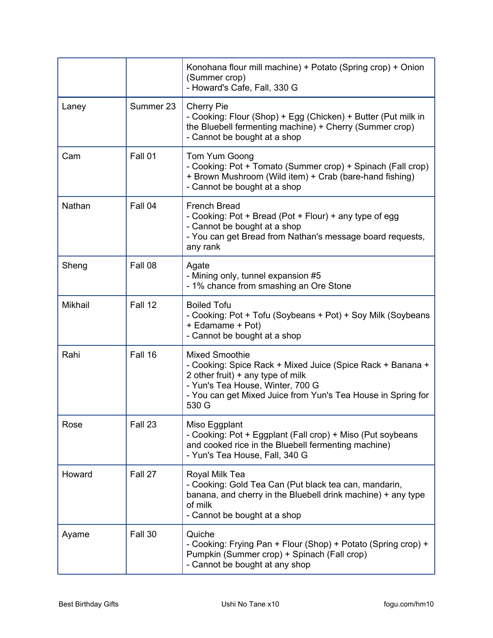|         |           | Konohana flour mill machine) + Potato (Spring crop) + Onion<br>(Summer crop)<br>- Howard's Cafe, Fall, 330 G                                                                                                                            |
|---------|-----------|-----------------------------------------------------------------------------------------------------------------------------------------------------------------------------------------------------------------------------------------|
| Laney   | Summer 23 | <b>Cherry Pie</b><br>- Cooking: Flour (Shop) + Egg (Chicken) + Butter (Put milk in<br>the Bluebell fermenting machine) + Cherry (Summer crop)<br>- Cannot be bought at a shop                                                           |
| Cam     | Fall 01   | Tom Yum Goong<br>- Cooking: Pot + Tomato (Summer crop) + Spinach (Fall crop)<br>+ Brown Mushroom (Wild item) + Crab (bare-hand fishing)<br>- Cannot be bought at a shop                                                                 |
| Nathan  | Fall 04   | <b>French Bread</b><br>- Cooking: Pot + Bread (Pot + Flour) + any type of egg<br>- Cannot be bought at a shop<br>- You can get Bread from Nathan's message board requests,<br>any rank                                                  |
| Sheng   | Fall 08   | Agate<br>- Mining only, tunnel expansion #5<br>- 1% chance from smashing an Ore Stone                                                                                                                                                   |
| Mikhail | Fall 12   | <b>Boiled Tofu</b><br>- Cooking: Pot + Tofu (Soybeans + Pot) + Soy Milk (Soybeans<br>+ Edamame + Pot)<br>- Cannot be bought at a shop                                                                                                   |
| Rahi    | Fall 16   | <b>Mixed Smoothie</b><br>- Cooking: Spice Rack + Mixed Juice (Spice Rack + Banana +<br>2 other fruit) $+$ any type of milk<br>- Yun's Tea House, Winter, 700 G<br>- You can get Mixed Juice from Yun's Tea House in Spring for<br>530 G |
| Rose    | Fall 23   | Miso Eggplant<br>- Cooking: Pot + Eggplant (Fall crop) + Miso (Put soybeans<br>and cooked rice in the Bluebell fermenting machine)<br>- Yun's Tea House, Fall, 340 G                                                                    |
| Howard  | Fall 27   | Royal Milk Tea<br>- Cooking: Gold Tea Can (Put black tea can, mandarin,<br>banana, and cherry in the Bluebell drink machine) + any type<br>of milk<br>- Cannot be bought at a shop                                                      |
| Ayame   | Fall 30   | Quiche<br>- Cooking: Frying Pan + Flour (Shop) + Potato (Spring crop) +<br>Pumpkin (Summer crop) + Spinach (Fall crop)<br>- Cannot be bought at any shop                                                                                |